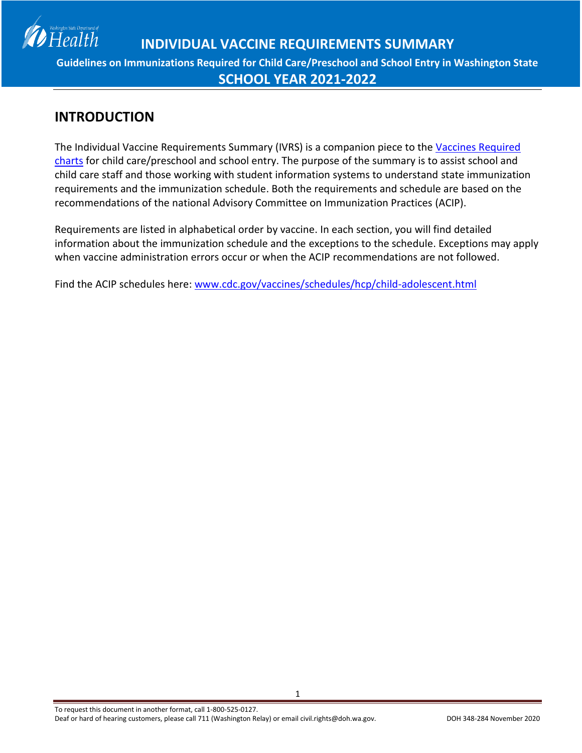

### **INTRODUCTION**

The Individual Vaccine Requirements Summary (IVRS) is a companion piece to the [Vaccines Required](http://www.doh.wa.gov/CommunityandEnvironment/Schools/Immunization/VaccineRequirements.aspx)  [charts](http://www.doh.wa.gov/CommunityandEnvironment/Schools/Immunization/VaccineRequirements.aspx) for child care/preschool and school entry. The purpose of the summary is to assist school and child care staff and those working with student information systems to understand state immunization requirements and the immunization schedule. Both the requirements and schedule are based on the recommendations of the national Advisory Committee on Immunization Practices (ACIP).

Requirements are listed in alphabetical order by vaccine. In each section, you will find detailed information about the immunization schedule and the exceptions to the schedule. Exceptions may apply when vaccine administration errors occur or when the ACIP recommendations are not followed.

Find the ACIP schedules here: [www.cdc.gov/vaccines/schedules/hcp/child-adolescent.html](http://www.cdc.gov/vaccines/schedules/hcp/child-adolescent.html)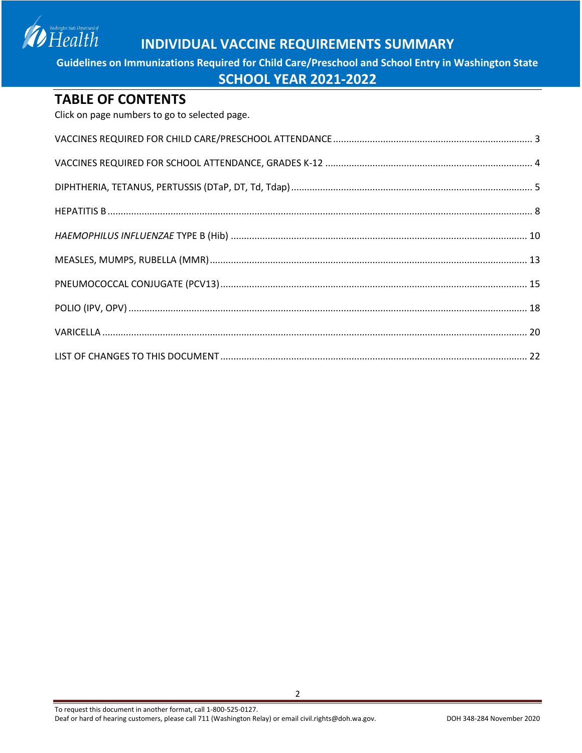Washington State Department of<br>Health

## **INDIVIDUAL VACCINE REQUIREMENTS SUMMARY**

**Guidelines on Immunizations Required for Child Care/Preschool and School Entry in Washington State**

#### **SCHOOL YEAR 2021-2022**

#### **TABLE OF CONTENTS**

Click on page numbers to go to selected page.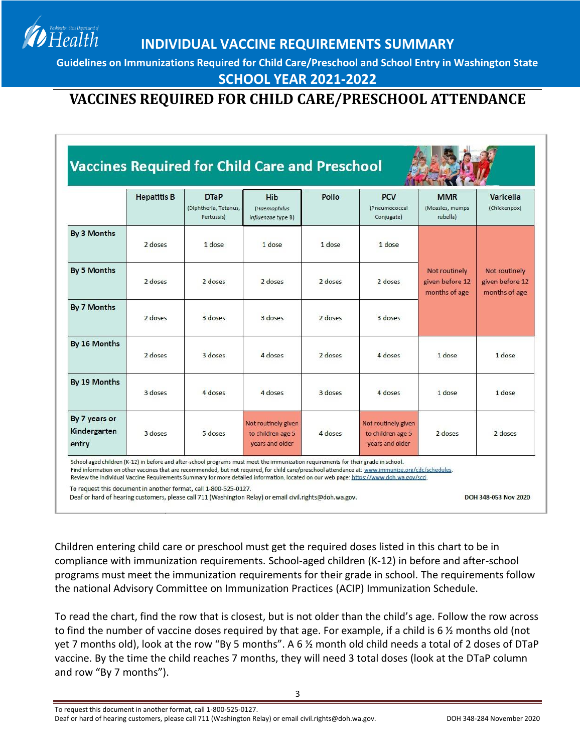**Guidelines on Immunizations Required for Child Care/Preschool and School Entry in Washington State**

**SCHOOL YEAR 2021-2022**

## <span id="page-2-0"></span>**VACCINES REQUIRED FOR CHILD CARE/PRESCHOOL ATTENDANCE**

|                                        | <b>Hepatitis B</b> | <b>DTaP</b><br>(Diphtheria, Tetanus,<br>Pertussis) | <b>Hib</b><br>(Haemophilus<br>influenzae type B)            | Polio   | <b>PCV</b><br>(Pneumococcal<br>Conjugate)                   | <b>MMR</b><br>(Measles, mumps)<br>rubella)        | Varicella<br>(Chickenpox)                         |
|----------------------------------------|--------------------|----------------------------------------------------|-------------------------------------------------------------|---------|-------------------------------------------------------------|---------------------------------------------------|---------------------------------------------------|
| By 3 Months                            | 2 doses            | 1 dose                                             | 1 dose                                                      | 1 dose  | 1 dose                                                      |                                                   |                                                   |
| By 5 Months                            | $2$ doses          | $2$ doses                                          | $2$ doses                                                   | 2 doses | $2$ doses                                                   | Not routinely<br>given before 12<br>months of age | Not routinely<br>given before 12<br>months of age |
| By 7 Months                            | 2 doses            | 3 doses                                            | 3 doses                                                     | 2 doses | 3 doses                                                     |                                                   |                                                   |
| By 16 Months                           | 2 doses            | 3 doses                                            | 4 doses                                                     | 2 doses | 4 doses                                                     | 1 dose                                            | 1 dose                                            |
| By 19 Months                           | 3 doses            | 4 doses                                            | 4 doses                                                     | 3 doses | 4 doses                                                     | 1 dose                                            | 1 dose                                            |
| By 7 years or<br>Kindergarten<br>entry | 3 doses            | 5 doses                                            | Not routinely given<br>to children age 5<br>years and older | 4 doses | Not routinely given<br>to children age 5<br>years and older | 2 doses                                           | 2 doses                                           |

To request this document in another format, call 1-800-525-0127.

Health

Deaf or hard of hearing customers, please call 711 (Washington Relay) or email civil.rights@doh.wa.gov.

DOH 348-053 Nov 2020

Children entering child care or preschool must get the required doses listed in this chart to be in compliance with immunization requirements. School-aged children (K-12) in before and after-school programs must meet the immunization requirements for their grade in school. The requirements follow the national Advisory Committee on Immunization Practices (ACIP) Immunization Schedule.

To read the chart, find the row that is closest, but is not older than the child's age. Follow the row across to find the number of vaccine doses required by that age. For example, if a child is 6 ½ months old (not yet 7 months old), look at the row "By 5 months". A 6 ½ month old child needs a total of 2 doses of DTaP vaccine. By the time the child reaches 7 months, they will need 3 total doses (look at the DTaP column and row "By 7 months").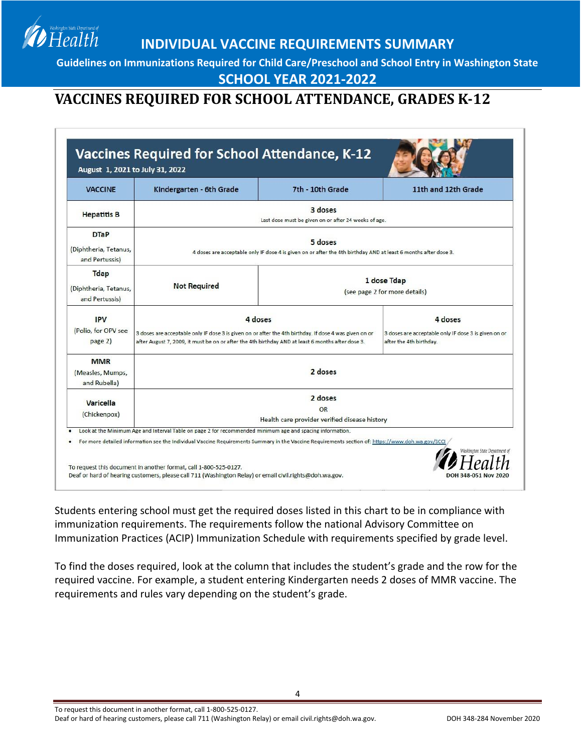**Guidelines on Immunizations Required for Child Care/Preschool and School Entry in Washington State**

#### **SCHOOL YEAR 2021-2022**

## <span id="page-3-0"></span>**VACCINES REQUIRED FOR SCHOOL ATTENDANCE, GRADES K-12**

Health

| Kindergarten - 6th Grade                                                                                                   | 7th - 10th Grade                             | 11th and 12th Grade                                                                                                                                                                                                                                                                                                      |
|----------------------------------------------------------------------------------------------------------------------------|----------------------------------------------|--------------------------------------------------------------------------------------------------------------------------------------------------------------------------------------------------------------------------------------------------------------------------------------------------------------------------|
| 3 doses<br>Last dose must be given on or after 24 weeks of age.                                                            |                                              |                                                                                                                                                                                                                                                                                                                          |
| 5 doses<br>4 doses are acceptable only IF dose 4 is given on or after the 4th birthday AND at least 6 months after dose 3. |                                              |                                                                                                                                                                                                                                                                                                                          |
| <b>Not Required</b>                                                                                                        | 1 dose Tdap<br>(see page 2 for more details) |                                                                                                                                                                                                                                                                                                                          |
| 4 doses                                                                                                                    |                                              | 4 doses<br>3 doses are acceptable only IF dose 3 is given on or<br>after the 4th birthday.                                                                                                                                                                                                                               |
| 2 doses                                                                                                                    |                                              |                                                                                                                                                                                                                                                                                                                          |
| 2 doses<br>$\Omega$<br>Health care provider verified disease history                                                       |                                              |                                                                                                                                                                                                                                                                                                                          |
|                                                                                                                            |                                              | 3 doses are acceptable only IF dose 3 is given on or after the 4th birthday. If dose 4 was given on or<br>after August 7, 2009, it must be on or after the 4th birthday AND at least 6 months after dose 3.<br>Look at the Minimum Age and Interval Table on page 2 for recommended minimum age and spacing information. |

Students entering school must get the required doses listed in this chart to be in compliance with immunization requirements. The requirements follow the national Advisory Committee on Immunization Practices (ACIP) Immunization Schedule with requirements specified by grade level.

To find the doses required, look at the column that includes the student's grade and the row for the required vaccine. For example, a student entering Kindergarten needs 2 doses of MMR vaccine. The requirements and rules vary depending on the student's grade.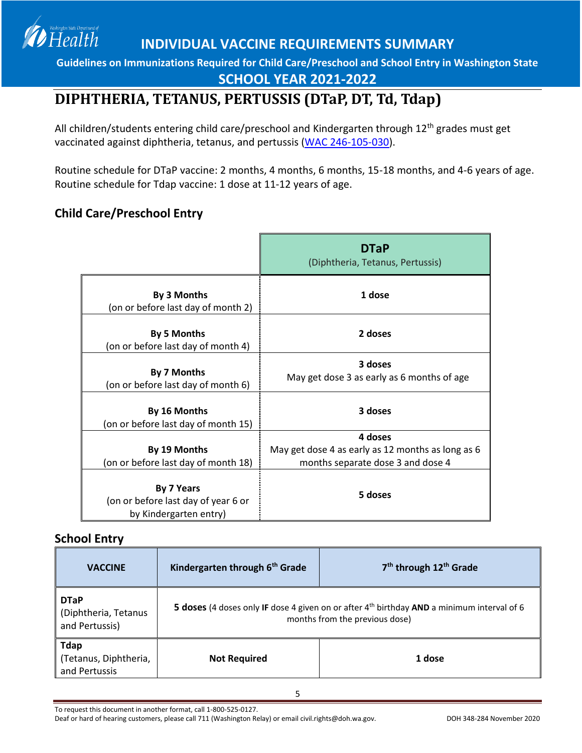**Guidelines on Immunizations Required for Child Care/Preschool and School Entry in Washington State**

**SCHOOL YEAR 2021-2022**

## <span id="page-4-0"></span>**DIPHTHERIA, TETANUS, PERTUSSIS (DTaP, DT, Td, Tdap)**

All children/students entering child care/preschool and Kindergarten through 12<sup>th</sup> grades must get vaccinated against diphtheria, tetanus, and pertussis [\(WAC 246-105-030\)](http://apps.leg.wa.gov/WAC/default.aspx?cite=246-105-030).

Routine schedule for DTaP vaccine: 2 months, 4 months, 6 months, 15-18 months, and 4-6 years of age. Routine schedule for Tdap vaccine: 1 dose at 11-12 years of age.

### **Child Care/Preschool Entry**

Health

|                                                                                    | <b>DTaP</b><br>(Diphtheria, Tetanus, Pertussis)                                        |
|------------------------------------------------------------------------------------|----------------------------------------------------------------------------------------|
| By 3 Months<br>(on or before last day of month 2)                                  | 1 dose                                                                                 |
| <b>By 5 Months</b><br>(on or before last day of month 4)                           | 2 doses                                                                                |
| By 7 Months<br>(on or before last day of month 6)                                  | 3 doses<br>May get dose 3 as early as 6 months of age                                  |
| By 16 Months<br>(on or before last day of month 15)                                | 3 doses                                                                                |
|                                                                                    | 4 doses                                                                                |
| By 19 Months<br>(on or before last day of month 18)                                | May get dose 4 as early as 12 months as long as 6<br>months separate dose 3 and dose 4 |
| <b>By 7 Years</b><br>(on or before last day of year 6 or<br>by Kindergarten entry) | 5 doses                                                                                |

#### **School Entry**

| <b>VACCINE</b>                                        | Kindergarten through 6 <sup>th</sup> Grade                                                                                               | 7 <sup>th</sup> through 12 <sup>th</sup> Grade |
|-------------------------------------------------------|------------------------------------------------------------------------------------------------------------------------------------------|------------------------------------------------|
| <b>DTaP</b><br>(Diphtheria, Tetanus<br>and Pertussis) | 5 doses (4 doses only IF dose 4 given on or after 4 <sup>th</sup> birthday AND a minimum interval of 6<br>months from the previous dose) |                                                |
| <b>Tdap</b><br>(Tetanus, Diphtheria,<br>and Pertussis | <b>Not Required</b>                                                                                                                      | 1 dose                                         |

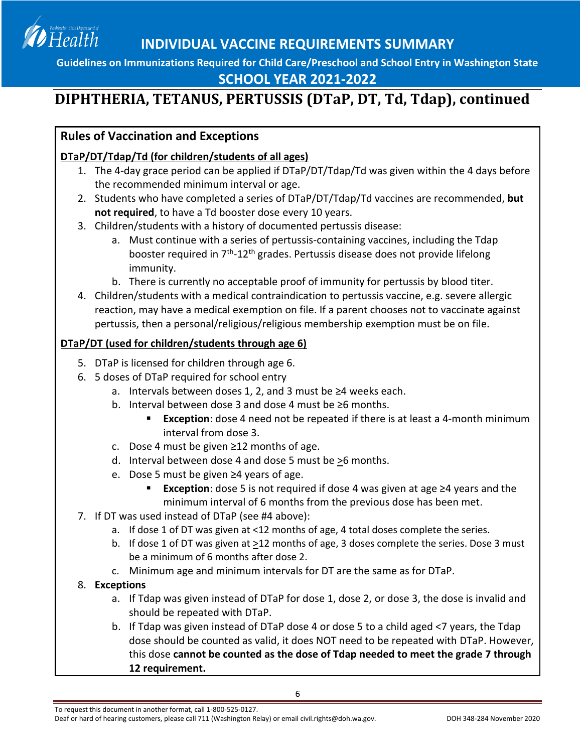

### **SCHOOL YEAR 2021-2022**

# **DIPHTHERIA, TETANUS, PERTUSSIS (DTaP, DT, Td, Tdap), continued**

### **Rules of Vaccination and Exceptions**

### **DTaP/DT/Tdap/Td (for children/students of all ages)**

- 1. The 4-day grace period can be applied if DTaP/DT/Tdap/Td was given within the 4 days before the recommended minimum interval or age.
- 2. Students who have completed a series of DTaP/DT/Tdap/Td vaccines are recommended, **but not required**, to have a Td booster dose every 10 years.
- 3. Children/students with a history of documented pertussis disease:
	- a. Must continue with a series of pertussis-containing vaccines, including the Tdap booster required in 7<sup>th</sup>-12<sup>th</sup> grades. Pertussis disease does not provide lifelong immunity.
	- b. There is currently no acceptable proof of immunity for pertussis by blood titer.
- 4. Children/students with a medical contraindication to pertussis vaccine, e.g. severe allergic reaction, may have a medical exemption on file. If a parent chooses not to vaccinate against pertussis, then a personal/religious/religious membership exemption must be on file.

#### **DTaP/DT (used for children/students through age 6)**

- 5. DTaP is licensed for children through age 6.
- 6. 5 doses of DTaP required for school entry
	- a. Intervals between doses 1, 2, and 3 must be ≥4 weeks each.
	- b. Interval between dose 3 and dose 4 must be ≥6 months.
		- **Exception**: dose 4 need not be repeated if there is at least a 4-month minimum interval from dose 3.
	- c. Dose 4 must be given ≥12 months of age.
	- d. Interval between dose 4 and dose 5 must be >6 months.
	- e. Dose 5 must be given ≥4 years of age.
		- **Exception**: dose 5 is not required if dose 4 was given at age ≥4 years and the minimum interval of 6 months from the previous dose has been met.
- 7. If DT was used instead of DTaP (see #4 above):
	- a. If dose 1 of DT was given at <12 months of age, 4 total doses complete the series.
	- b. If dose 1 of DT was given at >12 months of age, 3 doses complete the series. Dose 3 must be a minimum of 6 months after dose 2.
	- c. Minimum age and minimum intervals for DT are the same as for DTaP.
- 8. **Exceptions**
	- a. If Tdap was given instead of DTaP for dose 1, dose 2, or dose 3, the dose is invalid and should be repeated with DTaP.
	- b. If Tdap was given instead of DTaP dose 4 or dose 5 to a child aged <7 years, the Tdap dose should be counted as valid, it does NOT need to be repeated with DTaP. However, this dose **cannot be counted as the dose of Tdap needed to meet the grade 7 through 12 requirement.**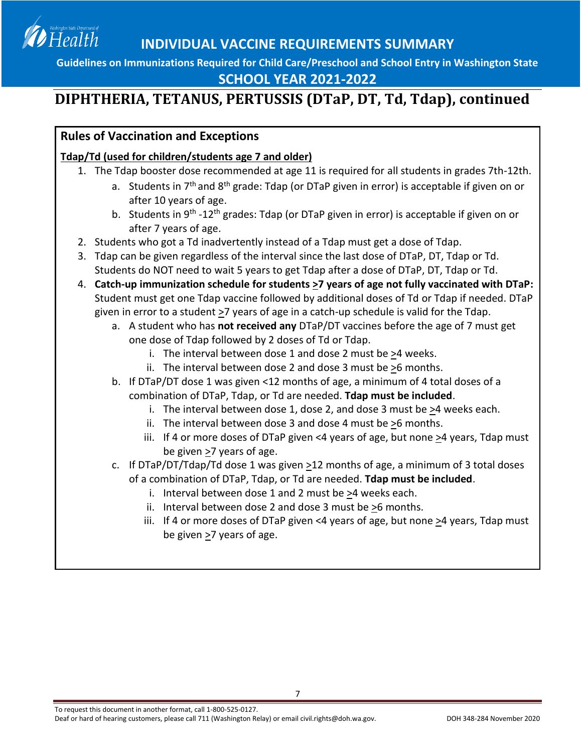

### **SCHOOL YEAR 2021-2022**

# **DIPHTHERIA, TETANUS, PERTUSSIS (DTaP, DT, Td, Tdap), continued**

### **Rules of Vaccination and Exceptions**

### **Tdap/Td (used for children/students age 7 and older)**

- 1. The Tdap booster dose recommended at age 11 is required for all students in grades 7th-12th.
	- a. Students in  $7<sup>th</sup>$  and  $8<sup>th</sup>$  grade: Tdap (or DTaP given in error) is acceptable if given on or after 10 years of age.
	- b. Students in 9<sup>th</sup> -12<sup>th</sup> grades: Tdap (or DTaP given in error) is acceptable if given on or after 7 years of age.
- 2. Students who got a Td inadvertently instead of a Tdap must get a dose of Tdap.
- 3. Tdap can be given regardless of the interval since the last dose of DTaP, DT, Tdap or Td. Students do NOT need to wait 5 years to get Tdap after a dose of DTaP, DT, Tdap or Td.
- 4. **Catch-up immunization schedule for students >7 years of age not fully vaccinated with DTaP:** Student must get one Tdap vaccine followed by additional doses of Td or Tdap if needed. DTaP given in error to a student >7 years of age in a catch-up schedule is valid for the Tdap.
	- a. A student who has **not received any** DTaP/DT vaccines before the age of 7 must get one dose of Tdap followed by 2 doses of Td or Tdap.
		- i. The interval between dose 1 and dose 2 must be >4 weeks.
		- ii. The interval between dose 2 and dose 3 must be >6 months.
	- b. If DTaP/DT dose 1 was given <12 months of age, a minimum of 4 total doses of a combination of DTaP, Tdap, or Td are needed. **Tdap must be included**.
		- i. The interval between dose 1, dose 2, and dose 3 must be >4 weeks each.
		- ii. The interval between dose 3 and dose 4 must be >6 months.
		- iii. If 4 or more doses of DTaP given <4 years of age, but none >4 years, Tdap must be given >7 years of age.
	- c. If DTaP/DT/Tdap/Td dose 1 was given >12 months of age, a minimum of 3 total doses of a combination of DTaP, Tdap, or Td are needed. **Tdap must be included**.
		- i. Interval between dose 1 and 2 must be >4 weeks each.
		- ii. Interval between dose 2 and dose 3 must be  $\geq 6$  months.

7

<span id="page-6-0"></span>iii. If 4 or more doses of DTaP given <4 years of age, but none  $\geq$ 4 years, Tdap must be given  $\geq$ 7 years of age.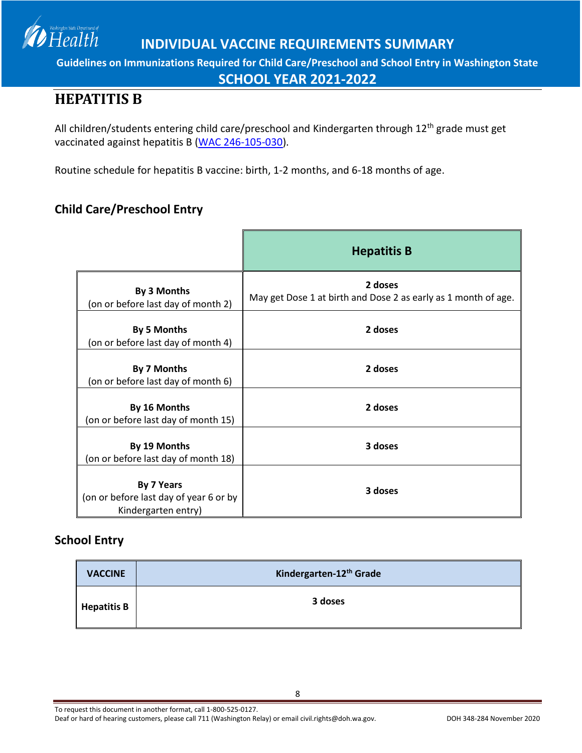**Guidelines on Immunizations Required for Child Care/Preschool and School Entry in Washington State**

**SCHOOL YEAR 2021-2022**

## **HEPATITIS B**

Health

All children/students entering child care/preschool and Kindergarten through 12<sup>th</sup> grade must get vaccinated against hepatitis B [\(WAC 246-105-030\)](http://apps.leg.wa.gov/WAC/default.aspx?cite=246-105-030).

Routine schedule for hepatitis B vaccine: birth, 1-2 months, and 6-18 months of age.

### **Child Care/Preschool Entry**

|                                                                             | <b>Hepatitis B</b>                                                        |
|-----------------------------------------------------------------------------|---------------------------------------------------------------------------|
| By 3 Months<br>(on or before last day of month 2)                           | 2 doses<br>May get Dose 1 at birth and Dose 2 as early as 1 month of age. |
| By 5 Months<br>(on or before last day of month 4)                           | 2 doses                                                                   |
| By 7 Months<br>(on or before last day of month 6)                           | 2 doses                                                                   |
| By 16 Months<br>(on or before last day of month 15)                         | 2 doses                                                                   |
| By 19 Months<br>(on or before last day of month 18)                         | 3 doses                                                                   |
| By 7 Years<br>(on or before last day of year 6 or by<br>Kindergarten entry) | 3 doses                                                                   |

### **School Entry**

| <b>VACCINE</b>     | Kindergarten-12 <sup>th</sup> Grade |
|--------------------|-------------------------------------|
| <b>Hepatitis B</b> | 3 doses                             |

To request this document in another format, call 1-800-525-0127.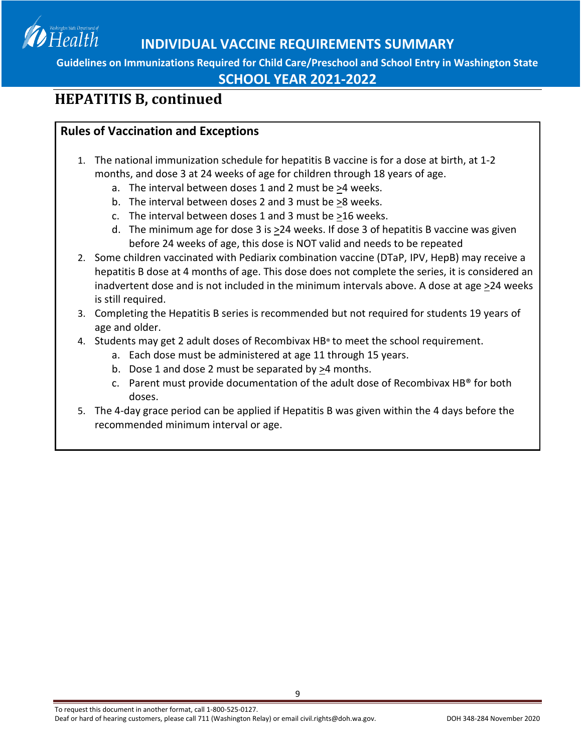

**SCHOOL YEAR 2021-2022**

## **HEPATITIS B, continued**

### **Rules of Vaccination and Exceptions**

- 1. The national immunization schedule for hepatitis B vaccine is for a dose at birth, at 1-2 months, and dose 3 at 24 weeks of age for children through 18 years of age.
	- a. The interval between doses 1 and 2 must be >4 weeks.
	- b. The interval between doses 2 and 3 must be >8 weeks.
	- c. The interval between doses 1 and 3 must be >16 weeks.
	- d. The minimum age for dose 3 is >24 weeks. If dose 3 of hepatitis B vaccine was given before 24 weeks of age, this dose is NOT valid and needs to be repeated
- 2. Some children vaccinated with Pediarix combination vaccine (DTaP, IPV, HepB) may receive a hepatitis B dose at 4 months of age. This dose does not complete the series, it is considered an inadvertent dose and is not included in the minimum intervals above. A dose at age >24 weeks is still required.
- 3. Completing the Hepatitis B series is recommended but not required for students 19 years of age and older.
- 4. Students may get 2 adult doses of Recombivax HB® to meet the school requirement.
	- a. Each dose must be administered at age 11 through 15 years.
	- b. Dose 1 and dose 2 must be separated by >4 months.
	- c. Parent must provide documentation of the adult dose of Recombivax HB® for both doses.
- 5. The 4-day grace period can be applied if Hepatitis B was given within the 4 days before the recommended minimum interval or age.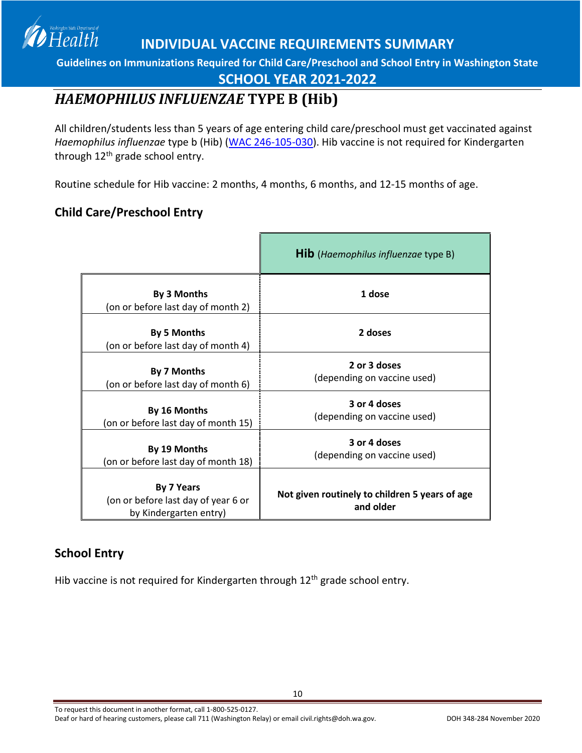**Guidelines on Immunizations Required for Child Care/Preschool and School Entry in Washington State**

### **SCHOOL YEAR 2021-2022**

## <span id="page-9-0"></span>*HAEMOPHILUS INFLUENZAE* **TYPE B (Hib)**

All children/students less than 5 years of age entering child care/preschool must get vaccinated against *Haemophilus influenzae* type b (Hib) [\(WAC 246-105-030\)](http://apps.leg.wa.gov/WAC/default.aspx?cite=246-105-030). Hib vaccine is not required for Kindergarten through  $12<sup>th</sup>$  grade school entry.

Routine schedule for Hib vaccine: 2 months, 4 months, 6 months, and 12-15 months of age.

### **Child Care/Preschool Entry**

Health

|                                                                                    | <b>Hib</b> (Haemophilus influenzae type B)                  |
|------------------------------------------------------------------------------------|-------------------------------------------------------------|
| By 3 Months<br>(on or before last day of month 2)                                  | 1 dose                                                      |
| <b>By 5 Months</b><br>(on or before last day of month 4)                           | 2 doses                                                     |
| By 7 Months<br>(on or before last day of month 6)                                  | 2 or 3 doses<br>(depending on vaccine used)                 |
| By 16 Months<br>(on or before last day of month 15)                                | 3 or 4 doses<br>(depending on vaccine used)                 |
| By 19 Months<br>(on or before last day of month 18)                                | 3 or 4 doses<br>(depending on vaccine used)                 |
| <b>By 7 Years</b><br>(on or before last day of year 6 or<br>by Kindergarten entry) | Not given routinely to children 5 years of age<br>and older |

#### **School Entry**

Hib vaccine is not required for Kindergarten through 12<sup>th</sup> grade school entry.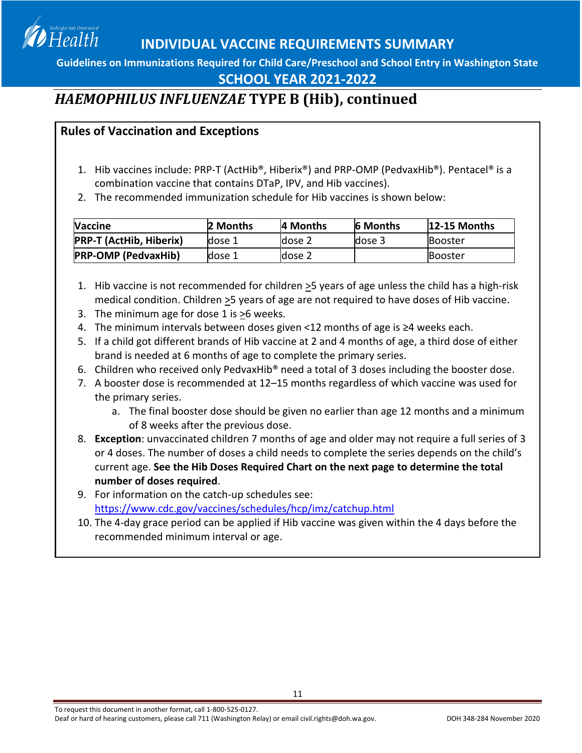**Guidelines on Immunizations Required for Child Care/Preschool and School Entry in Washington State**

### **SCHOOL YEAR 2021-2022**

## *HAEMOPHILUS INFLUENZAE* **TYPE B (Hib), continued**

### **Rules of Vaccination and Exceptions**

Health

- 1. Hib vaccines include: PRP-T (ActHib®, Hiberix®) and PRP-OMP (PedvaxHib®). Pentacel® is a combination vaccine that contains DTaP, IPV, and Hib vaccines).
- 2. The recommended immunization schedule for Hib vaccines is shown below:

| <b>Vaccine</b>                 | 2 Months | A Months | <b>6 Months</b> | <b>12-15 Months</b> |
|--------------------------------|----------|----------|-----------------|---------------------|
| <b>PRP-T (ActHib, Hiberix)</b> | dose 1   | dose 2   | dose 3          | <b>IBooster</b>     |
| <b>PRP-OMP (PedvaxHib)</b>     | dose 1   | dose 2   |                 | <b>IBooster</b>     |

- 1. Hib vaccine is not recommended for children  $\geq$ 5 years of age unless the child has a high-risk medical condition. Children >5 years of age are not required to have doses of Hib vaccine.
- 3. The minimum age for dose 1 is  $\geq 6$  weeks.
- 4. The minimum intervals between doses given <12 months of age is ≥4 weeks each.
- 5. If a child got different brands of Hib vaccine at 2 and 4 months of age, a third dose of either brand is needed at 6 months of age to complete the primary series.
- 6. Children who received only PedvaxHib® need a total of 3 doses including the booster dose.
- 7. A booster dose is recommended at 12–15 months regardless of which vaccine was used for the primary series.
	- a. The final booster dose should be given no earlier than age 12 months and a minimum of 8 weeks after the previous dose.
- 8. **Exception**: unvaccinated children 7 months of age and older may not require a full series of 3 or 4 doses. The number of doses a child needs to complete the series depends on the child's current age. **See the Hib Doses Required Chart on the next page to determine the total number of doses required**.
- 9. For information on the catch-up schedules see: <https://www.cdc.gov/vaccines/schedules/hcp/imz/catchup.html>
- 10. The 4-day grace period can be applied if Hib vaccine was given within the 4 days before the recommended minimum interval or age.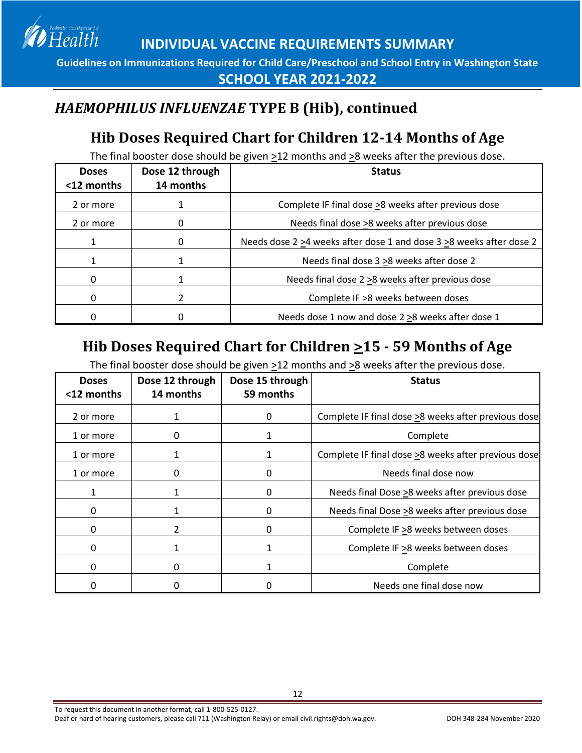**Guidelines on Immunizations Required for Child Care/Preschool and School Entry in Washington State SCHOOL YEAR 2021-2022**

## *HAEMOPHILUS INFLUENZAE* **TYPE B (Hib), continued**

Health

# **Hib Doses Required Chart for Children 12-14 Months of Age**

The final booster dose should be given >12 months and >8 weeks after the previous dose.

| <b>Doses</b><br><12 months | Dose 12 through<br>14 months | <b>Status</b>                                                       |
|----------------------------|------------------------------|---------------------------------------------------------------------|
| 2 or more                  |                              | Complete IF final dose >8 weeks after previous dose                 |
| 2 or more                  |                              | Needs final dose >8 weeks after previous dose                       |
|                            | 0                            | Needs dose 2 >4 weeks after dose 1 and dose 3 >8 weeks after dose 2 |
|                            |                              | Needs final dose 3 > 8 weeks after dose 2                           |
| 0                          |                              | Needs final dose 2 > 8 weeks after previous dose                    |
| 0                          |                              | Complete IF >8 weeks between doses                                  |
| O                          |                              | Needs dose 1 now and dose 2 > 8 weeks after dose 1                  |

# **Hib Doses Required Chart for Children >15 - 59 Months of Age**

The final booster dose should be given  $\geq$ 12 months and  $\geq$ 8 weeks after the previous dose.

| <b>Doses</b><br><12 months | Dose 12 through<br>14 months | Dose 15 through<br>59 months | <b>Status</b>                                       |
|----------------------------|------------------------------|------------------------------|-----------------------------------------------------|
| 2 or more                  |                              | 0                            | Complete IF final dose >8 weeks after previous dose |
| 1 or more                  | 0                            |                              | Complete                                            |
| 1 or more                  |                              |                              | Complete IF final dose >8 weeks after previous dose |
| 1 or more                  | 0                            | 0                            | Needs final dose now                                |
|                            |                              | 0                            | Needs final Dose >8 weeks after previous dose       |
| Ω                          |                              | 0                            | Needs final Dose >8 weeks after previous dose       |
| O                          | $\mathfrak{p}$               | O                            | Complete IF > 8 weeks between doses                 |
| 0                          |                              |                              | Complete IF >8 weeks between doses                  |
| 0                          | 0                            |                              | Complete                                            |
|                            |                              |                              | Needs one final dose now                            |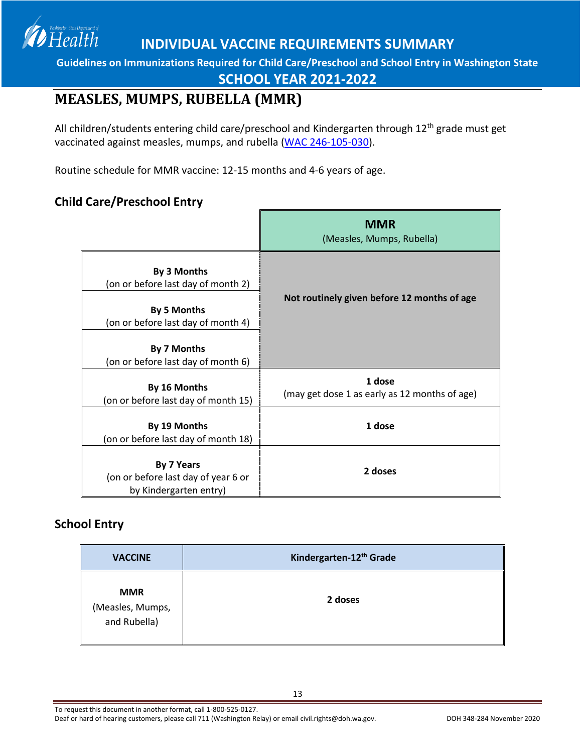

**SCHOOL YEAR 2021-2022**

## <span id="page-12-0"></span>**MEASLES, MUMPS, RUBELLA (MMR)**

All children/students entering child care/preschool and Kindergarten through 12<sup>th</sup> grade must get vaccinated against measles, mumps, and rubella [\(WAC 246-105-030\)](http://apps.leg.wa.gov/WAC/default.aspx?cite=246-105-030).

Routine schedule for MMR vaccine: 12-15 months and 4-6 years of age.

### **Child Care/Preschool Entry**

Health

|                                                                                                               | <b>MMR</b><br>(Measles, Mumps, Rubella)                 |
|---------------------------------------------------------------------------------------------------------------|---------------------------------------------------------|
| By 3 Months<br>(on or before last day of month 2)<br><b>By 5 Months</b><br>(on or before last day of month 4) | Not routinely given before 12 months of age             |
| By 7 Months<br>(on or before last day of month 6)                                                             |                                                         |
| By 16 Months<br>(on or before last day of month 15)                                                           | 1 dose<br>(may get dose 1 as early as 12 months of age) |
| By 19 Months<br>(on or before last day of month 18)                                                           | 1 dose                                                  |
| <b>By 7 Years</b><br>(on or before last day of year 6 or<br>by Kindergarten entry)                            | 2 doses                                                 |

### **School Entry**

| <b>VACCINE</b>                                 | Kindergarten-12 <sup>th</sup> Grade |
|------------------------------------------------|-------------------------------------|
| <b>MMR</b><br>(Measles, Mumps,<br>and Rubella) | 2 doses                             |

To request this document in another format, call 1-800-525-0127.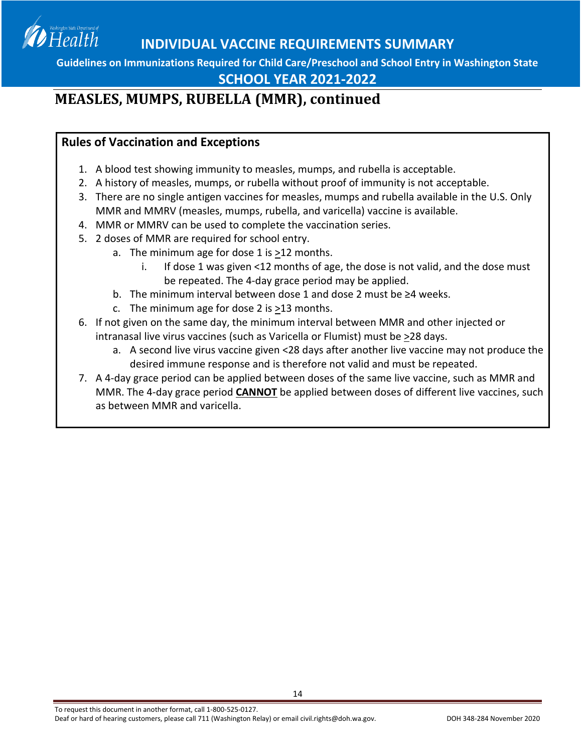**Guidelines on Immunizations Required for Child Care/Preschool and School Entry in Washington State**

### **SCHOOL YEAR 2021-2022**

## **MEASLES, MUMPS, RUBELLA (MMR), continued**

#### **Rules of Vaccination and Exceptions**

- 1. A blood test showing immunity to measles, mumps, and rubella is acceptable.
- 2. A history of measles, mumps, or rubella without proof of immunity is not acceptable.
- 3. There are no single antigen vaccines for measles, mumps and rubella available in the U.S. Only MMR and MMRV (measles, mumps, rubella, and varicella) vaccine is available.
- 4. MMR or MMRV can be used to complete the vaccination series.
- 5. 2 doses of MMR are required for school entry.
	- a. The minimum age for dose 1 is >12 months.
		- i. If dose 1 was given <12 months of age, the dose is not valid, and the dose must be repeated. The 4-day grace period may be applied.
	- b. The minimum interval between dose 1 and dose 2 must be ≥4 weeks.
	- c. The minimum age for dose 2 is  $\geq$ 13 months.
- 6. If not given on the same day, the minimum interval between MMR and other injected or intranasal live virus vaccines (such as Varicella or Flumist) must be >28 days.
	- a. A second live virus vaccine given <28 days after another live vaccine may not produce the desired immune response and is therefore not valid and must be repeated.
- 7. A 4-day grace period can be applied between doses of the same live vaccine, such as MMR and MMR. The 4-day grace period **CANNOT** be applied between doses of different live vaccines, such as between MMR and varicella.

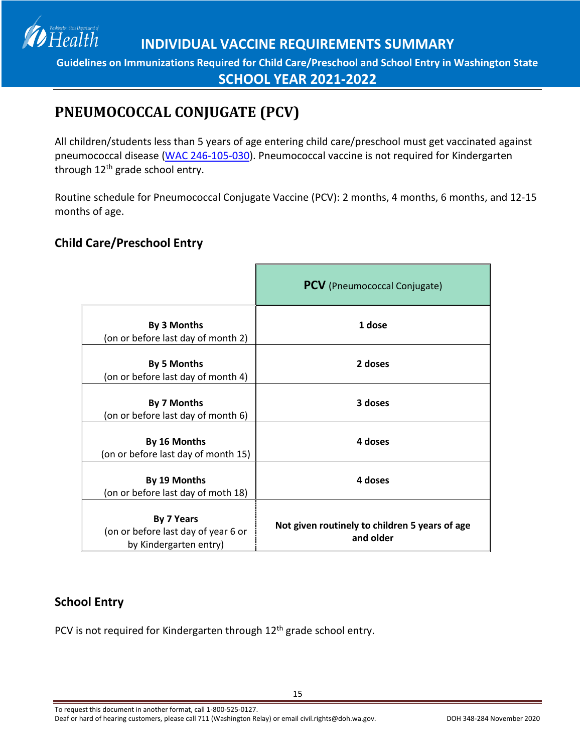

# <span id="page-14-0"></span>**PNEUMOCOCCAL CONJUGATE (PCV)**

All children/students less than 5 years of age entering child care/preschool must get vaccinated against pneumococcal disease [\(WAC 246-105-030\)](http://apps.leg.wa.gov/WAC/default.aspx?cite=246-105-030). Pneumococcal vaccine is not required for Kindergarten through 12<sup>th</sup> grade school entry.

Routine schedule for Pneumococcal Conjugate Vaccine (PCV): 2 months, 4 months, 6 months, and 12-15 months of age.

### **Child Care/Preschool Entry**

|                                                                                    | <b>PCV</b> (Pneumococcal Conjugate)                         |
|------------------------------------------------------------------------------------|-------------------------------------------------------------|
| By 3 Months<br>(on or before last day of month 2)                                  | 1 dose                                                      |
| <b>By 5 Months</b><br>(on or before last day of month 4)                           | 2 doses                                                     |
| By 7 Months<br>(on or before last day of month 6)                                  | 3 doses                                                     |
| By 16 Months<br>(on or before last day of month 15)                                | 4 doses                                                     |
| By 19 Months<br>(on or before last day of moth 18)                                 | 4 doses                                                     |
| <b>By 7 Years</b><br>(on or before last day of year 6 or<br>by Kindergarten entry) | Not given routinely to children 5 years of age<br>and older |

### **School Entry**

PCV is not required for Kindergarten through 12<sup>th</sup> grade school entry.

To request this document in another format, call 1-800-525-0127.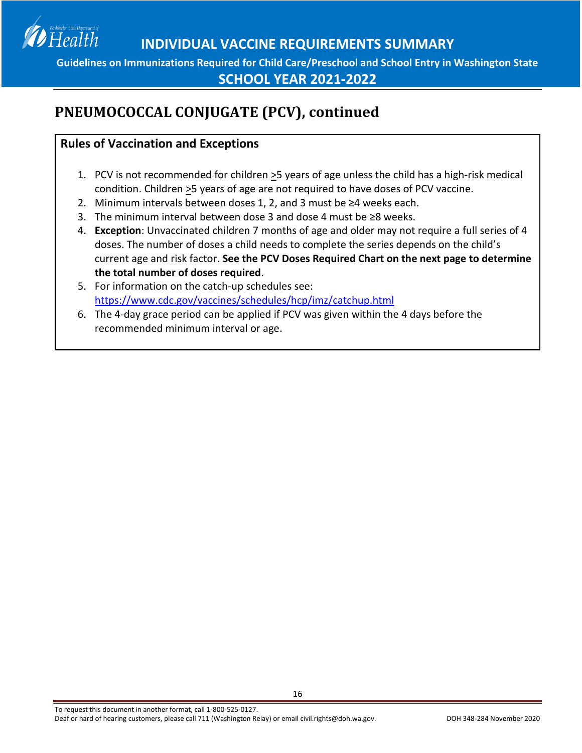

**SCHOOL YEAR 2021-2022**

# **PNEUMOCOCCAL CONJUGATE (PCV), continued**

### **Rules of Vaccination and Exceptions**

- 1. PCV is not recommended for children >5 years of age unless the child has a high-risk medical condition. Children >5 years of age are not required to have doses of PCV vaccine.
- 2. Minimum intervals between doses 1, 2, and 3 must be ≥4 weeks each.
- 3. The minimum interval between dose 3 and dose 4 must be ≥8 weeks.
- 4. **Exception**: Unvaccinated children 7 months of age and older may not require a full series of 4 doses. The number of doses a child needs to complete the series depends on the child's current age and risk factor. **See the PCV Doses Required Chart on the next page to determine the total number of doses required**.
- 5. For information on the catch-up schedules see: <https://www.cdc.gov/vaccines/schedules/hcp/imz/catchup.html>
- 6. The 4-day grace period can be applied if PCV was given within the 4 days before the recommended minimum interval or age.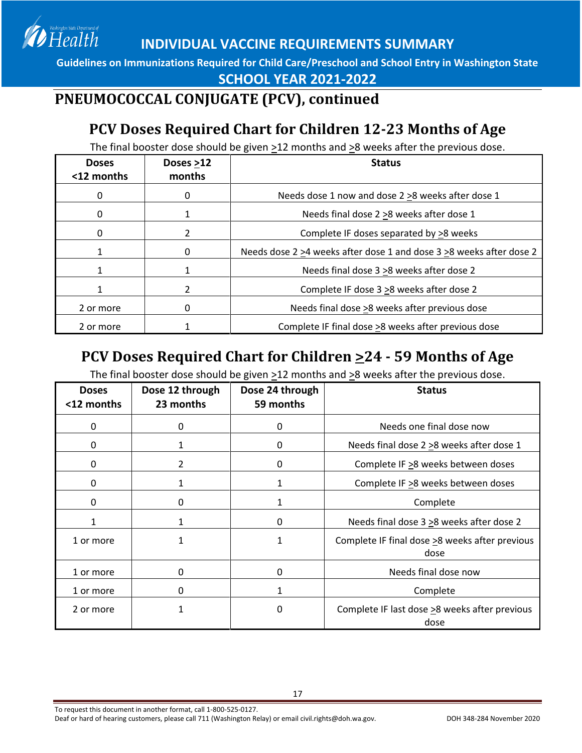Health

**INDIVIDUAL VACCINE REQUIREMENTS SUMMARY**

**Guidelines on Immunizations Required for Child Care/Preschool and School Entry in Washington State**

**SCHOOL YEAR 2021-2022**

## **PNEUMOCOCCAL CONJUGATE (PCV), continued**

# **PCV Doses Required Chart for Children 12-23 Months of Age**

The final booster dose should be given >12 months and >8 weeks after the previous dose.

| <b>Doses</b><br><12 months | Doses >12<br>months | <b>Status</b>                                                       |
|----------------------------|---------------------|---------------------------------------------------------------------|
| 0                          | O                   | Needs dose 1 now and dose 2 > 8 weeks after dose 1                  |
| 0                          | 1                   | Needs final dose 2 > 8 weeks after dose 1                           |
| 0                          | 2                   | Complete IF doses separated by >8 weeks                             |
|                            | 0                   | Needs dose 2 >4 weeks after dose 1 and dose 3 >8 weeks after dose 2 |
|                            | 1                   | Needs final dose 3 > 8 weeks after dose 2                           |
|                            | 2                   | Complete IF dose 3 > 8 weeks after dose 2                           |
| 2 or more                  | 0                   | Needs final dose >8 weeks after previous dose                       |
| 2 or more                  |                     | Complete IF final dose >8 weeks after previous dose                 |

## **PCV Doses Required Chart for Children >24 - 59 Months of Age**

The final booster dose should be given  $\geq$ 12 months and  $\geq$ 8 weeks after the previous dose.

| <b>Doses</b><br><12 months | Dose 12 through<br>23 months | Dose 24 through<br>59 months | <b>Status</b>                                          |
|----------------------------|------------------------------|------------------------------|--------------------------------------------------------|
| 0                          | 0                            | 0                            | Needs one final dose now                               |
| 0                          |                              | 0                            | Needs final dose 2 > 8 weeks after dose 1              |
| 0                          | $\overline{2}$               | 0                            | Complete IF >8 weeks between doses                     |
| 0                          | 1                            | 1                            | Complete IF >8 weeks between doses                     |
| 0                          | 0                            | 1                            | Complete                                               |
| 1                          |                              | 0                            | Needs final dose $3 \ge 8$ weeks after dose 2          |
| 1 or more                  | 1                            | 1                            | Complete IF final dose >8 weeks after previous<br>dose |
| 1 or more                  | 0                            | 0                            | Needs final dose now                                   |
| 1 or more                  | 0                            | 1                            | Complete                                               |
| 2 or more                  |                              | 0                            | Complete IF last dose >8 weeks after previous<br>dose  |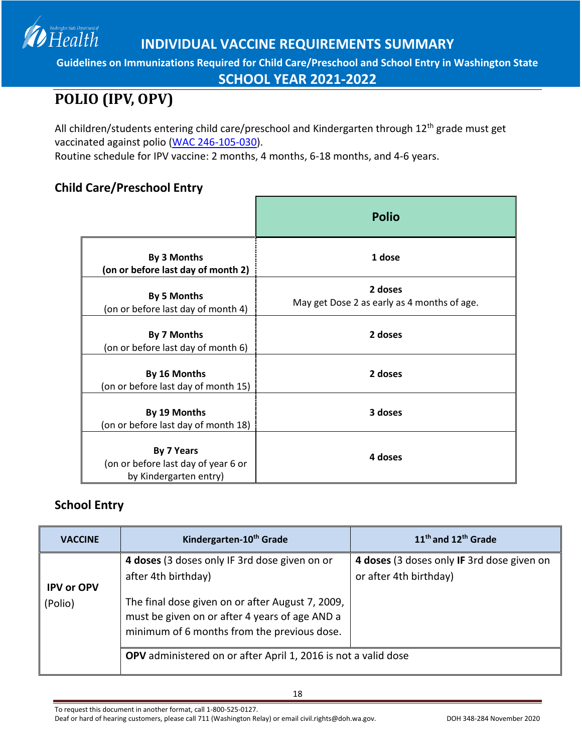**Guidelines on Immunizations Required for Child Care/Preschool and School Entry in Washington State**

**SCHOOL YEAR 2021-2022**

# <span id="page-17-0"></span>**POLIO (IPV, OPV)**

Health

All children/students entering child care/preschool and Kindergarten through 12<sup>th</sup> grade must get vaccinated against polio [\(WAC 246-105-030\)](http://apps.leg.wa.gov/WAC/default.aspx?cite=246-105-030).

Routine schedule for IPV vaccine: 2 months, 4 months, 6-18 months, and 4-6 years.

### **Child Care/Preschool Entry**

|                                                                             | <b>Polio</b>                                           |
|-----------------------------------------------------------------------------|--------------------------------------------------------|
| By 3 Months<br>(on or before last day of month 2)                           | 1 dose                                                 |
| <b>By 5 Months</b><br>(on or before last day of month 4)                    | 2 doses<br>May get Dose 2 as early as 4 months of age. |
| By 7 Months<br>(on or before last day of month 6)                           | 2 doses                                                |
| By 16 Months<br>(on or before last day of month 15)                         | 2 doses                                                |
| By 19 Months<br>(on or before last day of month 18)                         | 3 doses                                                |
| By 7 Years<br>(on or before last day of year 6 or<br>by Kindergarten entry) | 4 doses                                                |

### **School Entry**

| <b>VACCINE</b>               | Kindergarten-10 <sup>th</sup> Grade                                                                                                               | 11 <sup>th</sup> and 12 <sup>th</sup> Grade                          |
|------------------------------|---------------------------------------------------------------------------------------------------------------------------------------------------|----------------------------------------------------------------------|
|                              | 4 doses (3 doses only IF 3rd dose given on or<br>after 4th birthday)                                                                              | 4 doses (3 doses only IF 3rd dose given on<br>or after 4th birthday) |
| <b>IPV or OPV</b><br>(Polio) | The final dose given on or after August 7, 2009,<br>must be given on or after 4 years of age AND a<br>minimum of 6 months from the previous dose. |                                                                      |
|                              | OPV administered on or after April 1, 2016 is not a valid dose                                                                                    |                                                                      |

18

To request this document in another format, call 1-800-525-0127.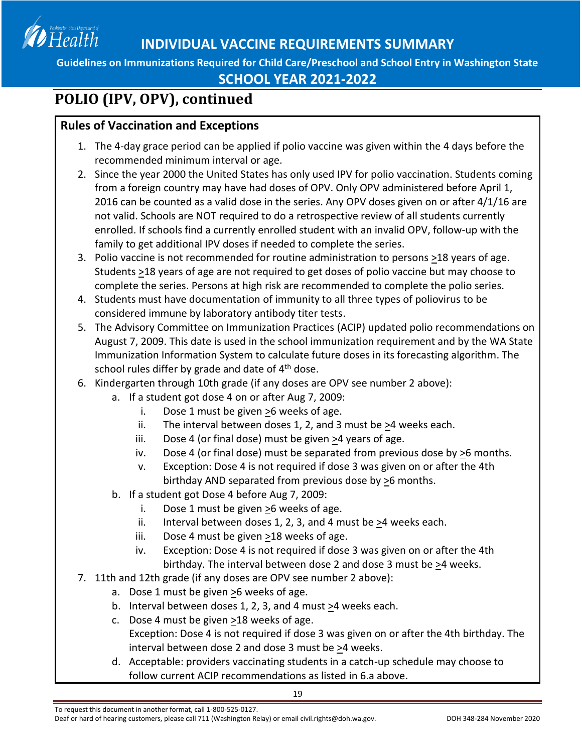

### **SCHOOL YEAR 2021-2022**

# **POLIO (IPV, OPV), continued**

### **Rules of Vaccination and Exceptions**

- 1. The 4-day grace period can be applied if polio vaccine was given within the 4 days before the recommended minimum interval or age.
- 2. Since the year 2000 the United States has only used IPV for polio vaccination. Students coming from a foreign country may have had doses of OPV. Only OPV administered before April 1, 2016 can be counted as a valid dose in the series. Any OPV doses given on or after 4/1/16 are not valid. Schools are NOT required to do a retrospective review of all students currently enrolled. If schools find a currently enrolled student with an invalid OPV, follow-up with the family to get additional IPV doses if needed to complete the series.
- 3. Polio vaccine is not recommended for routine administration to persons >18 years of age. Students  $\geq$ 18 years of age are not required to get doses of polio vaccine but may choose to complete the series. Persons at high risk are recommended to complete the polio series.
- 4. Students must have documentation of immunity to all three types of poliovirus to be considered immune by laboratory antibody titer tests.
- 5. The Advisory Committee on Immunization Practices (ACIP) updated polio recommendations on August 7, 2009. This date is used in the school immunization requirement and by the WA State Immunization Information System to calculate future doses in its forecasting algorithm. The school rules differ by grade and date of  $4<sup>th</sup>$  dose.
- 6. Kindergarten through 10th grade (if any doses are OPV see number 2 above):
	- a. If a student got dose 4 on or after Aug 7, 2009:
		- i. Dose 1 must be given >6 weeks of age.
		- ii. The interval between doses 1, 2, and 3 must be  $\geq 4$  weeks each.
		- iii. Dose 4 (or final dose) must be given  $\geq 4$  years of age.
		- iv. Dose 4 (or final dose) must be separated from previous dose by  $\geq 6$  months.
		- v. Exception: Dose 4 is not required if dose 3 was given on or after the 4th birthday AND separated from previous dose by  $\geq 6$  months.
	- b. If a student got Dose 4 before Aug 7, 2009:
		- i. Dose 1 must be given >6 weeks of age.
		- ii. Interval between doses 1, 2, 3, and 4 must be  $\geq$ 4 weeks each.
		- iii. Dose 4 must be given >18 weeks of age.
		- iv. Exception: Dose 4 is not required if dose 3 was given on or after the 4th birthday. The interval between dose 2 and dose 3 must be >4 weeks.
- 7. 11th and 12th grade (if any doses are OPV see number 2 above):
	- a. Dose 1 must be given >6 weeks of age.
	- b. Interval between doses 1, 2, 3, and 4 must  $\geq$ 4 weeks each.
	- c. Dose 4 must be given >18 weeks of age. Exception: Dose 4 is not required if dose 3 was given on or after the 4th birthday. The interval between dose 2 and dose 3 must be  $\geq$ 4 weeks.
	- d. Acceptable: providers vaccinating students in a catch-up schedule may choose to follow current ACIP recommendations as listed in 6.a above.

Deaf or hard of hearing customers, please call 711 (Washington Relay) or email civil.rights@doh.wa.gov. DOH 348-284 November 2020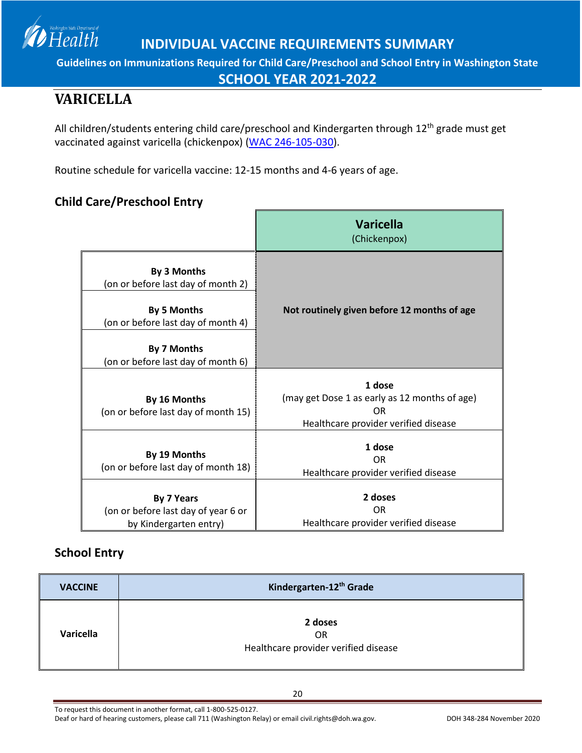

**SCHOOL YEAR 2021-2022**

# <span id="page-19-0"></span>**VARICELLA**

Health

All children/students entering child care/preschool and Kindergarten through 12<sup>th</sup> grade must get vaccinated against varicella (chickenpox) [\(WAC 246-105-030\)](http://apps.leg.wa.gov/WAC/default.aspx?cite=246-105-030).

Routine schedule for varicella vaccine: 12-15 months and 4-6 years of age.

### **Child Care/Preschool Entry**

|                                                                                         | <b>Varicella</b><br>(Chickenpox)                                                                                  |
|-----------------------------------------------------------------------------------------|-------------------------------------------------------------------------------------------------------------------|
| By 3 Months<br>(on or before last day of month 2)<br><b>By 5 Months</b>                 | Not routinely given before 12 months of age                                                                       |
| (on or before last day of month 4)<br>By 7 Months<br>(on or before last day of month 6) |                                                                                                                   |
| By 16 Months<br>(on or before last day of month 15)                                     | 1 dose<br>(may get Dose 1 as early as 12 months of age)<br>0 <sub>R</sub><br>Healthcare provider verified disease |
| By 19 Months<br>(on or before last day of month 18)                                     | 1 dose<br>0 <sub>R</sub><br>Healthcare provider verified disease                                                  |
| <b>By 7 Years</b><br>(on or before last day of year 6 or<br>by Kindergarten entry)      | 2 doses<br><b>OR</b><br>Healthcare provider verified disease                                                      |

### **School Entry**

| <b>VACCINE</b> | Kindergarten-12th Grade                                      |
|----------------|--------------------------------------------------------------|
| Varicella      | 2 doses<br><b>OR</b><br>Healthcare provider verified disease |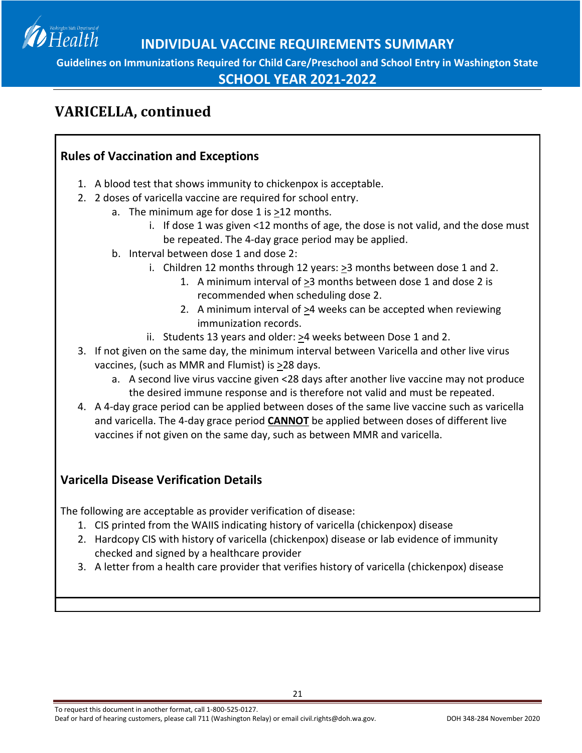

**SCHOOL YEAR 2021-2022**

## **VARICELLA, continued**

### **Rules of Vaccination and Exceptions**

- 1. A blood test that shows immunity to chickenpox is acceptable.
- 2. 2 doses of varicella vaccine are required for school entry.
	- a. The minimum age for dose 1 is >12 months.
		- i. If dose 1 was given <12 months of age, the dose is not valid, and the dose must be repeated. The 4-day grace period may be applied.
		- b. Interval between dose 1 and dose 2:
			- i. Children 12 months through 12 years: >3 months between dose 1 and 2.
				- 1. A minimum interval of >3 months between dose 1 and dose 2 is recommended when scheduling dose 2.
				- 2. A minimum interval of >4 weeks can be accepted when reviewing immunization records.
			- ii. Students 13 years and older:  $\geq 4$  weeks between Dose 1 and 2.
- 3. If not given on the same day, the minimum interval between Varicella and other live virus vaccines, (such as MMR and Flumist) is  $\geq$ 28 days.
	- a. A second live virus vaccine given <28 days after another live vaccine may not produce the desired immune response and is therefore not valid and must be repeated.
- 4. A 4-day grace period can be applied between doses of the same live vaccine such as varicella and varicella. The 4-day grace period **CANNOT** be applied between doses of different live vaccines if not given on the same day, such as between MMR and varicella.

### **Varicella Disease Verification Details**

The following are acceptable as provider verification of disease:

- 1. CIS printed from the WAIIS indicating history of varicella (chickenpox) disease
- 2. Hardcopy CIS with history of varicella (chickenpox) disease or lab evidence of immunity checked and signed by a healthcare provider
- 3. A letter from a health care provider that verifies history of varicella (chickenpox) disease